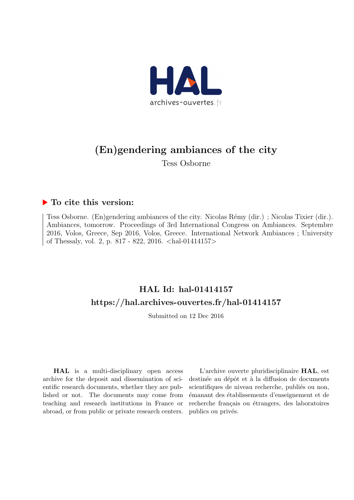

# (En)gendering ambiances of the city

Tess Osborne

## $\blacktriangleright$  To cite this version:

Tess Osborne. (En)gendering ambiances of the city. Nicolas Rémy (dir.); Nicolas Tixier (dir.). Ambiances, tomorrow. Proceedings of 3rd International Congress on Ambiances. Septembre 2016, Volos, Greece, Sep 2016, Volos, Greece. International Network Ambiances ; University of Thessaly, vol. 2, p. 817 - 822, 2016. <hal-01414157>

# HAL Id: hal-01414157 <https://hal.archives-ouvertes.fr/hal-01414157>

Submitted on 12 Dec 2016

HAL is a multi-disciplinary open access archive for the deposit and dissemination of scientific research documents, whether they are published or not. The documents may come from teaching and research institutions in France or abroad, or from public or private research centers.

L'archive ouverte pluridisciplinaire HAL, est destinée au dépôt et à la diffusion de documents scientifiques de niveau recherche, publiés ou non, émanant des établissements d'enseignement et de recherche français ou étrangers, des laboratoires publics ou privés.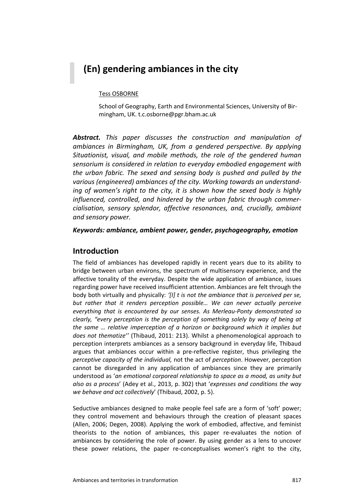## **(En) gendering ambiances in the city**

#### Tess OSBORNE

School of Geography, Earth and Environmental Sciences, University of Bir‐ mingham, UK. t.c.osborne@pgr.bham.ac.uk

*Abstract. This paper discusses the construction and manipulation of ambiances in Birmingham, UK, from a gendered perspective. By applying Situationist, visual, and mobile methods, the role of the gendered human sensorium is considered in relation to everyday embodied engagement with the urban fabric. The sexed and sensing body is pushed and pulled by the various (engineered) ambiances of the city. Working towards an understand‐ ing of women's right to the city, it is shown how the sexed body is highly influenced, controlled, and hindered by the urban fabric through commer‐ cialisation, sensory splendor, affective resonances, and, crucially, ambiant and sensory power.* 

*Keywords: ambiance, ambient power, gender, psychogeography, emotion* 

#### **Introduction**

The field of ambiances has developed rapidly in recent years due to its ability to bridge between urban environs, the spectrum of multisensory experience, and the affective tonality of the everyday. Despite the wide application of ambiance, issues regarding power have received insufficient attention. Ambiances are felt through the body both virtually and physically: *'[I] t is not the ambiance that is perceived per se, but rather that it renders perception possible… We can never actually perceive everything that is encountered by our senses. As Merleau‐Ponty demonstrated so clearly, "every perception is the perception of something solely by way of being at the same … relative imperception of a horizon or background which it implies but does not thematize''* (Thibaud, 2011: 213). Whilst a phenomenological approach to perception interprets ambiances as a sensory background in everyday life, Thibaud argues that ambiances occur within a pre-reflective register, thus privileging the *perceptive capacity of the individual,* not the act of *perception*. However, perception cannot be disregarded in any application of ambiances since they are primarily understood as '*an emotional corporeal relationship to space as a mood, as unity but also as a process*' (Adey et al., 2013, p. 302) that '*expresses and conditions the way we behave and act collectively*' (Thibaud, 2002, p. 5).

Seductive ambiances designed to make people feel safe are a form of 'soft' power; they control movement and behaviours through the creation of pleasant spaces (Allen, 2006; Degen, 2008). Applying the work of embodied, affective, and feminist theorists to the notion of ambiances, this paper re-evaluates the notion of ambiances by considering the role of power. By using gender as a lens to uncover these power relations, the paper re-conceptualises women's right to the city,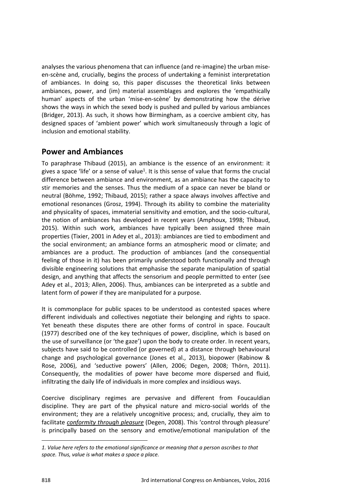analyses the various phenomena that can influence (and re-imagine) the urban miseen-scène and, crucially, begins the process of undertaking a feminist interpretation of ambiances. In doing so, this paper discusses the theoretical links between ambiances, power, and (im) material assemblages and explores the 'empathically human' aspects of the urban 'mise-en-scène' by demonstrating how the dérive shows the ways in which the sexed body is pushed and pulled by various ambiances (Bridger, 2013). As such, it shows how Birmingham, as a coercive ambient city, has designed spaces of 'ambient power' which work simultaneously through a logic of inclusion and emotional stability.

#### **Power and Ambiances**

To paraphrase Thibaud (2015), an ambiance is the essence of an environment: it gives a space 'life' or a sense of value<sup>1</sup>. It is this sense of value that forms the crucial difference between ambiance and environment, as an ambiance has the capacity to stir memories and the senses. Thus the medium of a space can never be bland or neutral (Böhme, 1992; Thibaud, 2015); rather a space always involves affective and emotional resonances (Grosz, 1994). Through its ability to combine the materiality and physicality of spaces, immaterial sensitivity and emotion, and the socio-cultural, the notion of ambiances has developed in recent years (Amphoux, 1998; Thibaud, 2015). Within such work, ambiances have typically been assigned three main properties (Tixier, 2001 in Adey et al., 2013): ambiances are tied to embodiment and the social environment; an ambiance forms an atmospheric mood or climate; and ambiances are a product. The production of ambiances (and the consequential feeling of those in it) has been primarily understood both functionally and through divisible engineering solutions that emphasise the separate manipulation of spatial design, and anything that affects the sensorium and people permitted to enter (see Adey et al., 2013; Allen, 2006). Thus, ambiances can be interpreted as a subtle and latent form of power if they are manipulated for a purpose.

It is commonplace for public spaces to be understood as contested spaces where different individuals and collectives negotiate their belonging and rights to space. Yet beneath these disputes there are other forms of control in space. Foucault (1977) described one of the key techniques of power, discipline, which is based on the use of surveillance (or 'the gaze') upon the body to create order. In recent years, subjects have said to be controlled (or governed) at a distance through behavioural change and psychological governance (Jones et al., 2013), biopower (Rabinow & Rose, 2006), and 'seductive powers' (Allen, 2006; Degen, 2008; Thörn, 2011). Consequently, the modalities of power have become more dispersed and fluid, infiltrating the daily life of individuals in more complex and insidious ways.

Coercive disciplinary regimes are pervasive and different from Foucauldian discipline. They are part of the physical nature and micro‐social worlds of the environment; they are a relatively uncognitive process; and, crucially, they aim to facilitate *conformity through pleasure* (Degen, 2008). This 'control through pleasure' is principally based on the sensory and emotive/emotional manipulation of the

<u> 1989 - Johann Barn, mars ann an t-Amhain Aonaich ann an t-Aonaich ann an t-Aonaich ann an t-Aonaich ann an t-</u>

*<sup>1.</sup> Value here refers to the emotional significance or meaning that a person ascribes to that space. Thus, value is what makes a space a place.*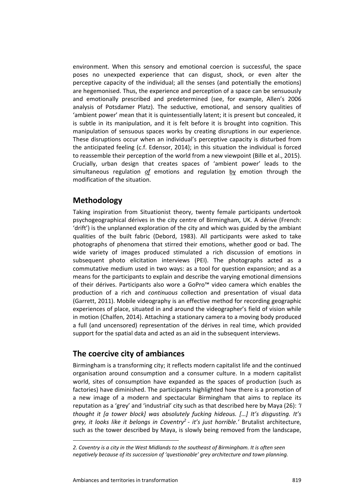environment. When this sensory and emotional coercion is successful, the space poses no unexpected experience that can disgust, shock, or even alter the perceptive capacity of the individual; all the senses (and potentially the emotions) are hegemonised. Thus, the experience and perception of a space can be sensuously and emotionally prescribed and predetermined (see, for example, Allen's 2006 analysis of Potsdamer Platz). The seductive, emotional, and sensory qualities of 'ambient power' mean that it is quintessentially latent; it is present but concealed, it is subtle in its manipulation, and it is felt before it is brought into cognition. This manipulation of sensuous spaces works by creating disruptions in our experience. These disruptions occur when an individual's perceptive capacity is disturbed from the anticipated feeling (c.f. Edensor, 2014); in this situation the individual is forced to reassemble their perception of the world from a new viewpoint (Bille et al., 2015). Crucially, urban design that creates spaces of 'ambient power' leads to the simultaneous regulation *of* emotions and regulation by emotion through the modification of the situation.

#### **Methodology**

Taking inspiration from Situationist theory, twenty female participants undertook psychogeographical dérives in the city centre of Birmingham, UK. A dérive (French: 'drift') is the unplanned exploration of the city and which was guided by the ambiant qualities of the built fabric (Debord, 1983). All participants were asked to take photographs of phenomena that stirred their emotions, whether good or bad. The wide variety of images produced stimulated a rich discussion of emotions in subsequent photo elicitation interviews (PEI). The photographs acted as a commutative medium used in two ways: as a tool for question expansion; and as a means for the participants to explain and describe the varying emotional dimensions of their dérives. Participants also wore a GoPro™ video camera which enables the production of a rich and *continuous* collection and presentation of visual data (Garrett, 2011). Mobile videography is an effective method for recording geographic experiences of place, situated in and around the videographer's field of vision while in motion (Chalfen, 2014). Attaching a stationary camera to a moving body produced a full (and uncensored) representation of the dérives in real time, which provided support for the spatial data and acted as an aid in the subsequent interviews.

### **The coercive city of ambiances**

Birmingham is a transforming city; it reflects modern capitalist life and the continued organisation around consumption and a consumer culture. In a modern capitalist world, sites of consumption have expanded as the spaces of production (such as factories) have diminished. The participants highlighted how there is a promotion of a new image of a modern and spectacular Birmingham that aims to replace its reputation as a 'grey' and 'industrial' city such as that described here by Maya (26): *'I thought it [a tower block] was absolutely fucking hideous. […] It's disgusting. It's grey, it looks like it belongs in Coventry2 ‐ it's just horrible.'*  Brutalist architecture, such as the tower described by Maya, is slowly being removed from the landscape,

*<sup>2.</sup> Coventry is a city in the West Midlands to the southeast of Birmingham. It is often seen negatively because of its succession of 'questionable' grey architecture and town planning.*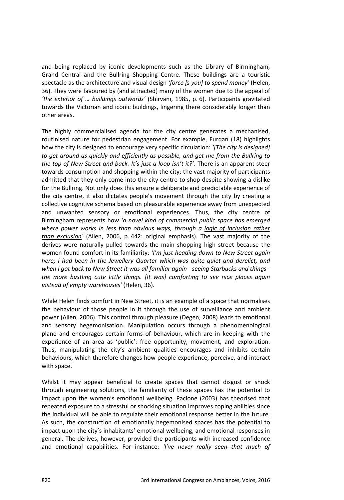and being replaced by iconic developments such as the Library of Birmingham, Grand Central and the Bullring Shopping Centre. These buildings are a touristic spectacle as the architecture and visual design *'force [s you] to spend money'* (Helen, 36). They were favoured by (and attracted) many of the women due to the appeal of *'the exterior of … buildings outwards'* (Shirvani, 1985, p. 6). Participants gravitated towards the Victorian and iconic buildings, lingering there considerably longer than other areas.

The highly commercialised agenda for the city centre generates a mechanised, routinised nature for pedestrian engagement. For example, Furqan (18) highlights how the city is designed to encourage very specific circulation: *'[The city is designed] to get around as quickly and efficiently as possible, and get me from the Bullring to the top of New Street and back. It's just a loop isn't it?'*. There is an apparent steer towards consumption and shopping within the city; the vast majority of participants admitted that they only come into the city centre to shop despite showing a dislike for the Bullring. Not only does this ensure a deliberate and predictable experience of the city centre, it also dictates people's movement through the city by creating a collective cognitive schema based on pleasurable experience away from unexpected and unwanted sensory or emotional experiences. Thus, the city centre of Birmingham represents how *'a novel kind of commercial public space has emerged where power works in less than obvious ways, through a logic of inclusion rather than exclusion'* (Allen, 2006, p. 442: original emphasis). The vast majority of the dérives were naturally pulled towards the main shopping high street because the women found comfort in its familiarity: *'I'm just heading down to New Street again here; I had been in the Jewellery Quarter which was quite quiet and derelict, and when I got back to New Street it was all familiar again ‐ seeing Starbucks and things ‐ the more bustling cute little things. [It was] comforting to see nice places again instead of empty warehouses'* (Helen, 36).

While Helen finds comfort in New Street, it is an example of a space that normalises the behaviour of those people in it through the use of surveillance and ambient power (Allen, 2006). This control through pleasure (Degen, 2008) leads to emotional and sensory hegemonisation. Manipulation occurs through a phenomenological plane and encourages certain forms of behaviour, which are in keeping with the experience of an area as 'public': free opportunity, movement, and exploration. Thus, manipulating the city's ambient qualities encourages and inhibits certain behaviours, which therefore changes how people experience, perceive, and interact with space.

Whilst it may appear beneficial to create spaces that cannot disgust or shock through engineering solutions, the familiarity of these spaces has the potential to impact upon the women's emotional wellbeing. Pacione (2003) has theorised that repeated exposure to a stressful or shocking situation improves coping abilities since the individual will be able to regulate their emotional response better in the future. As such, the construction of emotionally hegemonised spaces has the potential to impact upon the city's inhabitants' emotional wellbeing, and emotional responses in general. The dérives, however, provided the participants with increased confidence and emotional capabilities. For instance: *'I've never really seen that much of*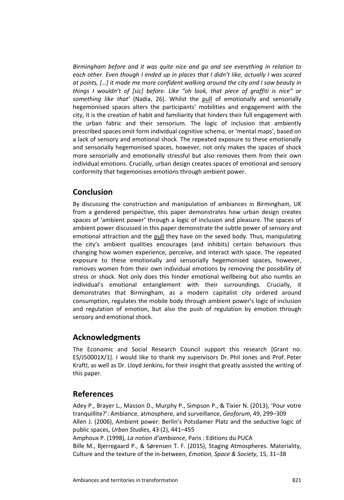*Birmingham before and it was quite nice and go and see everything in relation to each other. Even though I ended up in places that I didn't like, actually I was scared at points, […] it made me more confident walking around the city and I saw beauty in things I wouldn't of [sic] before. Like "oh look, that piece of graffiti is nice" or*  something like that' (Nadia, 26). Whilst the pull of emotionally and sensorially hegemonised spaces alters the participants' mobilities and engagement with the city, it is the creation of habit and familiarity that hinders their full engagement with the urban fabric and their sensorium. The logic of inclusion that ambiently prescribed spaces omit form individual cognitive schema, or 'mental maps', based on a lack of sensory and emotional shock. The repeated exposure to these emotionally and sensorially hegemonised spaces, however, not only makes the spaces of shock more sensorially and emotionally stressful but also removes them from their own individual emotions. Crucially, urban design creates spaces of emotional and sensory conformity that hegemonises emotions through ambient power.

### **Conclusion**

By discussing the construction and manipulation of ambiances in Birmingham, UK from a gendered perspective, this paper demonstrates how urban design creates spaces of 'ambient power' through a logic of inclusion and pleasure. The spaces of ambient power discussed in this paper demonstrate the subtle power of sensory and emotional attraction and the pull they have on the sexed body. Thus, manipulating the city's ambient qualities encourages (and inhibits) certain behaviours thus changing how women experience, perceive, and interact with space. The repeated exposure to these emotionally and sensorially hegemonised spaces, however, removes women from their own individual emotions by removing the possibility of stress or shock. Not only does this hinder emotional wellbeing but also numbs an individual's emotional entanglement with their surroundings. Crucially, it demonstrates that Birmingham, as a modern capitalist city ordered around consumption, regulates the mobile body through ambient power's logic of inclusion and regulation of emotion, but also the push of regulation by emotion through sensory and emotional shock.

### **Acknowledgments**

The Economic and Social Research Council support this research [Grant no. ES/J50001X/1]. I would like to thank my supervisors Dr. Phil Jones and Prof. Peter Kraftl, as well as Dr. Lloyd Jenkins, for their insight that greatly assisted the writing of this paper.

#### **References**

Adey P., Brayer L., Masson D., Murphy P., Simpson P., & Tixier N. (2013), 'Pour votre tranquillite?': Ambiance, atmosphere, and surveillance, *Geoforum*, 49, 299–309 Allen J. (2006), Ambient power: Berlin's Potsdamer Platz and the seductive logic of public spaces, *Urban Studies*, 43 (2), 441–455

Amphoux P. (1998), *La notion d'ambiance*, Paris : Editions du PUCA Bille M., Bjerregaard P., & Sørensen T. F. (2015), Staging Atmospheres. Materiality, Culture and the texture of the in‐between, *Emotion, Space & Society*, 15, 31–38